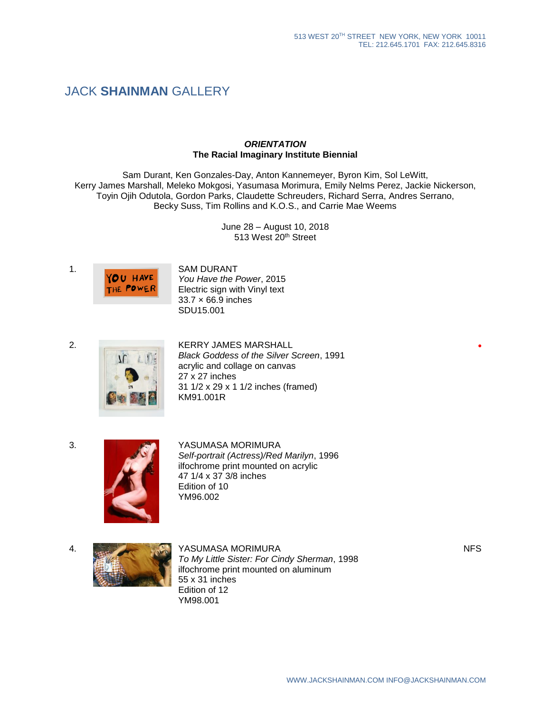# JACK **SHAINMAN** GALLERY

### *ORIENTATION* **The Racial Imaginary Institute Biennial**

Sam Durant, Ken Gonzales-Day, Anton Kannemeyer, Byron Kim, Sol LeWitt, Kerry James Marshall, Meleko Mokgosi, Yasumasa Morimura, Emily Nelms Perez, Jackie Nickerson, Toyin Ojih Odutola, Gordon Parks, Claudette Schreuders, Richard Serra, Andres Serrano, Becky Suss, Tim Rollins and K.O.S., and Carrie Mae Weems

> June 28 – August 10, 2018 513 West 20<sup>th</sup> Street



*You Have the Power*, 2015 Electric sign with Vinyl text 33.7 × 66.9 inches SDU15.001





2. KERRY JAMES MARSHALL *Black Goddess of the Silver Screen*, 1991 acrylic and collage on canvas 27 x 27 inches 31 1/2 x 29 x 1 1/2 inches (framed) KM91.001R



3. WE GET A SUMASA MORIMURA

*Self-portrait (Actress)/Red Marilyn*, 1996 ilfochrome print mounted on acrylic 47 1/4 x 37 3/8 inches Edition of 10 YM96.002



*To My Little Sister: For Cindy Sherman*, 1998 ilfochrome print mounted on aluminum 55 x 31 inches Edition of 12 YM98.001

**•**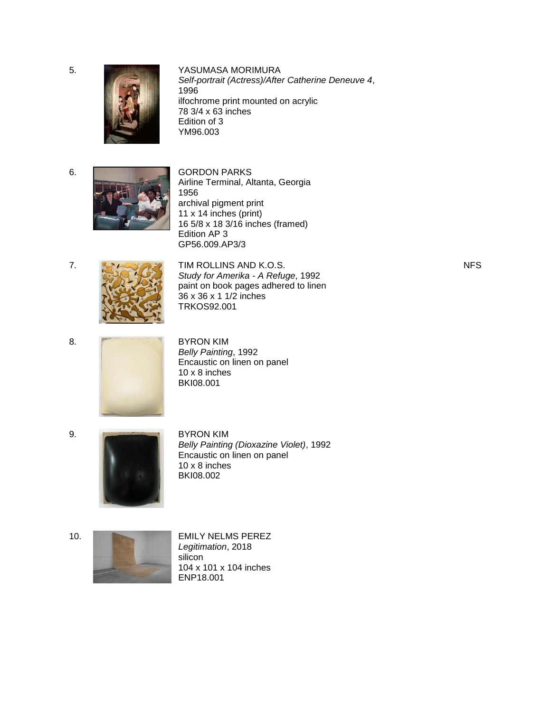5. YASUMASA MORIMURA



*Self-portrait (Actress)/After Catherine Deneuve 4*, 1996 ilfochrome print mounted on acrylic 78 3/4 x 63 inches Edition of 3 YM96.003



Airline Terminal, Altanta, Georgia 1956 archival pigment print 11 x 14 inches (print) 16 5/8 x 18 3/16 inches (framed) Edition AP 3 GP56.009.AP3/3



7. **TIM ROLLINS AND K.O.S.** *Study for Amerika - A Refuge*, 1992 paint on book pages adhered to linen 36 x 36 x 1 1/2 inches TRKOS92.001



*Belly Painting*, 1992 Encaustic on linen on panel 10 x 8 inches BKI08.001



*Belly Painting (Dioxazine Violet)*, 1992 Encaustic on linen on panel 10 x 8 inches BKI08.002



10. **EMILY NELMS PEREZ** *Legitimation*, 2018 silicon 104 x 101 x 104 inches ENP18.001

NFS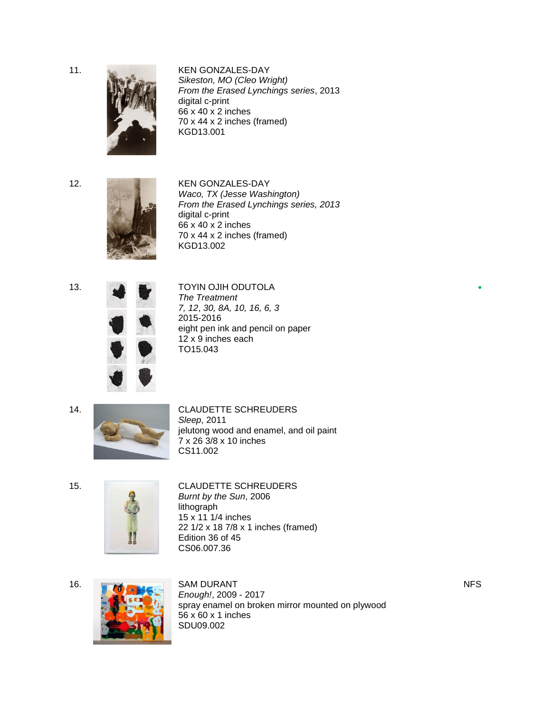11. KEN GONZALES-DAY



*Sikeston, MO (Cleo Wright) From the Erased Lynchings series*, 2013 digital c-print 66 x 40 x 2 inches 70 x 44 x 2 inches (framed) KGD13.001



12. KEN GONZALES-DAY *Waco, TX (Jesse Washington) From the Erased Lynchings series, 2013* digital c-print 66 x 40 x 2 inches 70 x 44 x 2 inches (framed) KGD13.002





## 13. **A COLLECTION OF A COLLECT A TOYIN OJIH ODUTOLA**

*The Treatment 7, 12*, *30, 8A, 10, 16, 6, 3* 2015-2016 eight pen ink and pencil on paper 12 x 9 inches each TO15.043

14. CLAUDETTE SCHREUDERS *Sleep*, 2011 jelutong wood and enamel, and oil paint  $7 \times 26$   $3/8 \times 10$  inches CS11.002



# 15. CLAUDETTE SCHREUDERS

*Burnt by the Sun*, 2006 lithograph 15 x 11 1/4 inches 22 1/2 x 18 7/8 x 1 inches (framed) Edition 36 of 45 CS06.007.36



*Enough!*, 2009 - 2017 spray enamel on broken mirror mounted on plywood 56 x 60 x 1 inches SDU09.002

NFS

**•**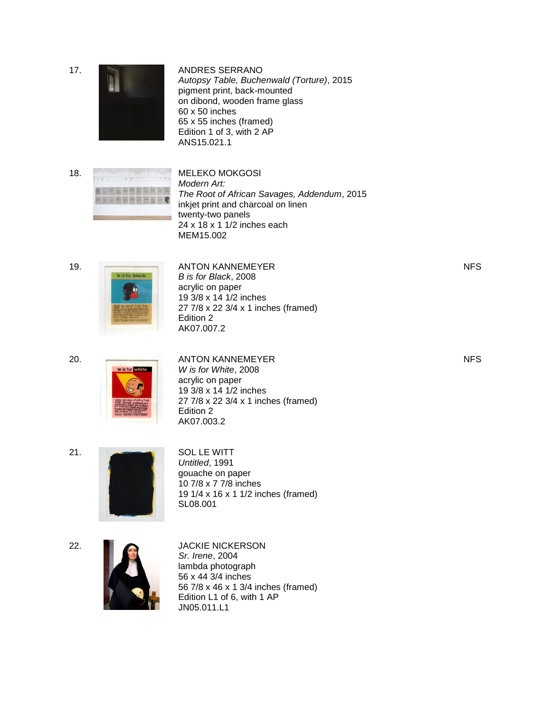17 . ANDRES SERRANO *Autopsy Table, Buchenwald (Torture)*, 2015 pigment print, back -mounted on dibond, wooden frame glass 60 x 50 inches 65 x 55 inches (framed) Edition 1 of 3, with 2 AP ANS15.021.1 18 . MELEKO MOKGOSI *Modern Art: The Root of African Savages, Addendum*, 2015 inkjet print and charcoal on linen twenty -two panels 24 x 18 x 1 1/2 inches each MEM15.002 19 . ANTON KANNEMEYER *B is for Blac k*, 2008 acrylic on paper 19 3/8 x 14 1/2 inches 27 7/8 x 22 3/4 x 1 inches (framed) Edition 2 AK07.007.2 NFS 20 . ANTON KANNEMEYER *W is for White*, 2008 acrylic on paper 19 3/8 x 14 1/2 inches 27 7/8 x 22 3/4 x 1 inches (framed) Edition 2 AK07.003.2 NFS 2 1 . SOL LE WITT *Untitled*, 1991 gouache on paper 10 7/8 x 7 7/8 inches 19 1/4 x 16 x 1 1/2 inches (framed ) SL08.001 2 2 . JACKIE NICKERSON *Sr. Irene*, 2004 lambda photograph 56 x 44 3/4 inches

56 7/8 x 46 x 1 3/4 inches (framed)

Edition L1 of 6, with 1 AP

JN05.011.L1